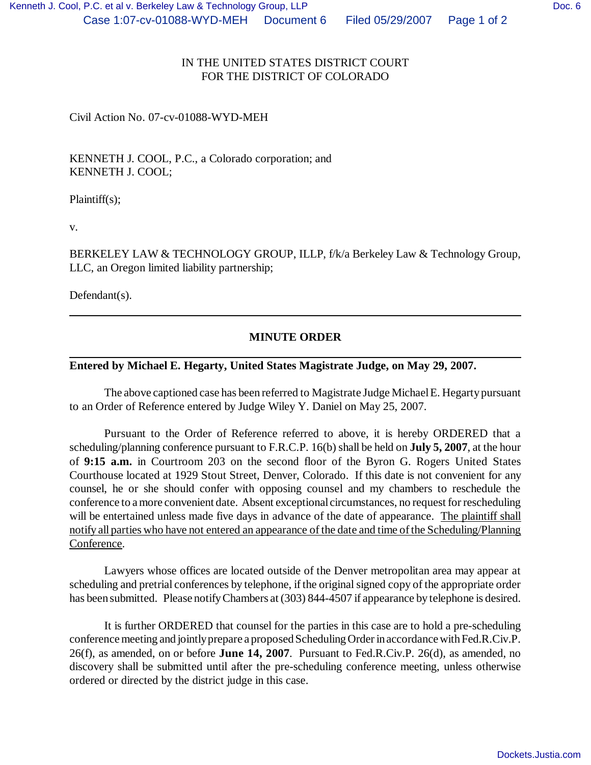## IN THE UNITED STATES DISTRICT COURT FOR THE DISTRICT OF COLORADO

Civil Action No. 07-cv-01088-WYD-MEH

KENNETH J. COOL, P.C., a Colorado corporation; and KENNETH J. COOL;

Plaintiff(s);

v.

BERKELEY LAW & TECHNOLOGY GROUP, ILLP, f/k/a Berkeley Law & Technology Group, LLC, an Oregon limited liability partnership;

Defendant(s).

## **MINUTE ORDER**

## **Entered by Michael E. Hegarty, United States Magistrate Judge, on May 29, 2007.**

The above captioned case has been referred to Magistrate Judge Michael E. Hegarty pursuant to an Order of Reference entered by Judge Wiley Y. Daniel on May 25, 2007.

Pursuant to the Order of Reference referred to above, it is hereby ORDERED that a scheduling/planning conference pursuant to F.R.C.P. 16(b) shall be held on **July 5, 2007**, at the hour of **9:15 a.m.** in Courtroom 203 on the second floor of the Byron G. Rogers United States Courthouse located at 1929 Stout Street, Denver, Colorado. If this date is not convenient for any counsel, he or she should confer with opposing counsel and my chambers to reschedule the conference to a more convenient date. Absent exceptional circumstances, no request for rescheduling will be entertained unless made five days in advance of the date of appearance. The plaintiff shall notify all parties who have not entered an appearance of the date and time of the Scheduling/Planning Conference.

Lawyers whose offices are located outside of the Denver metropolitan area may appear at scheduling and pretrial conferences by telephone, if the original signed copy of the appropriate order has been submitted. Please notify Chambers at (303) 844-4507 if appearance by telephone is desired.

It is further ORDERED that counsel for the parties in this case are to hold a pre-scheduling conference meeting and jointly prepare a proposed Scheduling Order in accordance with Fed.R.Civ.P. 26(f), as amended, on or before **June 14, 2007**. Pursuant to Fed.R.Civ.P. 26(d), as amended, no discovery shall be submitted until after the pre-scheduling conference meeting, unless otherwise ordered or directed by the district judge in this case.